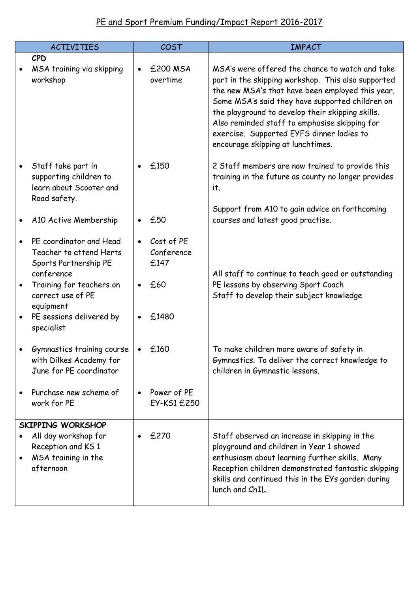## PE and Sport Premium Funding/Impact Report 2016-2017

|                        | <b>ACTIVITIES</b>                                                                                                                                                                                 | COST                                                                       | <b>IMPACT</b>                                                                                                                                                                                                                                                                                                                                                                                       |
|------------------------|---------------------------------------------------------------------------------------------------------------------------------------------------------------------------------------------------|----------------------------------------------------------------------------|-----------------------------------------------------------------------------------------------------------------------------------------------------------------------------------------------------------------------------------------------------------------------------------------------------------------------------------------------------------------------------------------------------|
|                        | CPD<br>MSA training via skipping<br>workshop                                                                                                                                                      | £200 MSA<br>$\bullet$<br>overtime                                          | MSA's were offered the chance to watch and take<br>part in the skipping workshop. This also supported<br>the new MSA's that have been employed this year.<br>Some MSA's said they have supported children on<br>the playground to develop their skipping skills.<br>Also reminded staff to emphasise skipping for<br>exercise. Supported EYFS dinner ladies to<br>encourage skipping at lunchtimes. |
| $\bullet$              | Staff take part in<br>supporting children to<br>learn about Scooter and<br>Road safety.                                                                                                           | £150                                                                       | 2 Staff members are now trained to provide this<br>training in the future as county no longer provides<br>it.                                                                                                                                                                                                                                                                                       |
|                        | A10 Active Membership                                                                                                                                                                             | £50                                                                        | Support from A10 to gain advice on forthcoming<br>courses and latest good practise.                                                                                                                                                                                                                                                                                                                 |
| $\bullet$<br>$\bullet$ | PE coordinator and Head<br>Teacher to attend Herts<br>Sports Partnership PE<br>conference<br>Training for teachers on<br>correct use of PE<br>equipment<br>PE sessions delivered by<br>specialist | Cost of PE<br>$\bullet$<br>Conference<br>£147<br>£60<br>$\bullet$<br>£1480 | All staff to continue to teach good or outstanding<br>PE lessons by observing Sport Coach<br>Staff to develop their subject knowledge                                                                                                                                                                                                                                                               |
|                        | Gymnastics training course<br>with Dilkes Academy for<br>June for PE coordinator<br>Purchase new scheme of<br>work for PE                                                                         | £160<br>Power of PE<br>EY-KS1 £250                                         | To make children more aware of safety in<br>Gymnastics. To deliver the correct knowledge to<br>children in Gymnastic lessons.                                                                                                                                                                                                                                                                       |
|                        | <b>SKIPPING WORKSHOP</b><br>All day workshop for<br>Reception and KS 1<br>MSA training in the<br>afternoon                                                                                        | £270                                                                       | Staff observed an increase in skipping in the<br>playground and children in Year 1 showed<br>enthusiasm about learning further skills. Many<br>Reception children demonstrated fantastic skipping<br>skills and continued this in the EYs garden during<br>lunch and ChIL.                                                                                                                          |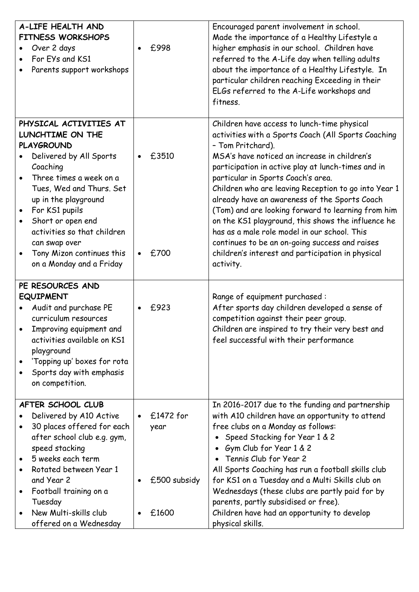| A-LIFE HEALTH AND<br><b>FITNESS WORKSHOPS</b><br>Over 2 days<br>For EYs and KS1<br>Parents support workshops                                                                                                                                                                                                                                                    | £998                                         | Encouraged parent involvement in school.<br>Made the importance of a Healthy Lifestyle a<br>higher emphasis in our school. Children have<br>referred to the A-Life day when telling adults<br>about the importance of a Healthy Lifestyle. In<br>particular children reaching Exceeding in their<br>ELGs referred to the A-Life workshops and<br>fitness.                                                                                                                                                                                                                                                                                                    |
|-----------------------------------------------------------------------------------------------------------------------------------------------------------------------------------------------------------------------------------------------------------------------------------------------------------------------------------------------------------------|----------------------------------------------|--------------------------------------------------------------------------------------------------------------------------------------------------------------------------------------------------------------------------------------------------------------------------------------------------------------------------------------------------------------------------------------------------------------------------------------------------------------------------------------------------------------------------------------------------------------------------------------------------------------------------------------------------------------|
| PHYSICAL ACTIVITIES AT<br>LUNCHTIME ON THE<br><b>PLAYGROUND</b><br>Delivered by All Sports<br>Coaching<br>Three times a week on a<br>Tues, Wed and Thurs. Set<br>up in the playground<br>For KS1 pupils<br>$\bullet$<br>Short or open end<br>$\bullet$<br>activities so that children<br>can swap over<br>Tony Mizon continues this<br>on a Monday and a Friday | £3510<br>£700                                | Children have access to lunch-time physical<br>activities with a Sports Coach (All Sports Coaching<br>- Tom Pritchard).<br>MSA's have noticed an increase in children's<br>participation in active play at lunch-times and in<br>particular in Sports Coach's area.<br>Children who are leaving Reception to go into Year 1<br>already have an awareness of the Sports Coach<br>(Tom) and are looking forward to learning from him<br>on the KS1 playground, this shows the influence he<br>has as a male role model in our school. This<br>continues to be an on-going success and raises<br>children's interest and participation in physical<br>activity. |
| PE RESOURCES AND<br><b>EQUIPMENT</b><br>Audit and purchase PE<br>curriculum resources<br>Improving equipment and<br>activities available on KS1<br>playground<br>'Topping up' boxes for rota<br>Sports day with emphasis<br>on competition.                                                                                                                     | £923                                         | Range of equipment purchased:<br>After sports day children developed a sense of<br>competition against their peer group.<br>Children are inspired to try their very best and<br>feel successful with their performance                                                                                                                                                                                                                                                                                                                                                                                                                                       |
| AFTER SCHOOL CLUB<br>Delivered by A10 Active<br>30 places offered for each<br>after school club e.g. gym,<br>speed stacking<br>5 weeks each term<br>Rotated between Year 1<br>and Year 2<br>Football training on a<br>Tuesday<br>New Multi-skills club<br>offered on a Wednesday                                                                                | $£1472$ for<br>year<br>£500 subsidy<br>£1600 | In 2016-2017 due to the funding and partnership<br>with A10 children have an opportunity to attend<br>free clubs on a Monday as follows:<br>Speed Stacking for Year 1 & 2<br>Gym Club for Year 1 & 2<br>Tennis Club for Year 2<br>All Sports Coaching has run a football skills club<br>for KS1 on a Tuesday and a Multi Skills club on<br>Wednesdays (these clubs are partly paid for by<br>parents, partly subsidised or free).<br>Children have had an opportunity to develop<br>physical skills.                                                                                                                                                         |